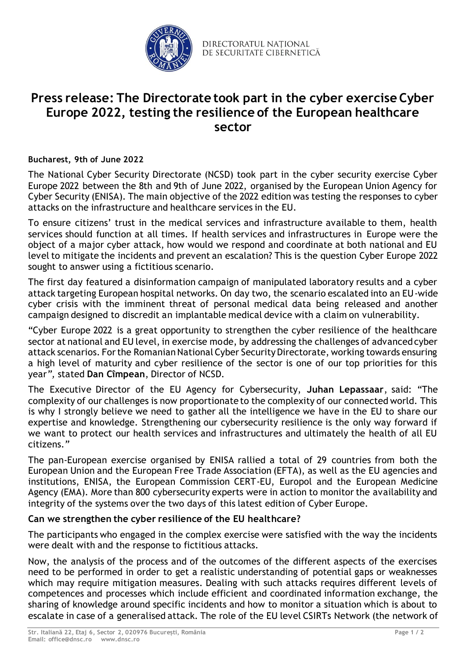

DIRECTORATUL NATIONAL DE SECURITATE CIBERNETICĂ

# **Press release: The Directorate took part in the cyber exercise Cyber Europe 2022, testing the resilience of the European healthcare sector**

### **Bucharest, 9th of June 2022**

The National Cyber Security Directorate (NCSD) took part in the cyber security exercise Cyber Europe 2022 between the 8th and 9th of June 2022, organised by the European Union Agency for Cyber Security (ENISA). The main objective of the 2022 edition was testing the responses to cyber attacks on the infrastructure and healthcare services in the EU.

To ensure citizens' trust in the medical services and infrastructure available to them, health services should function at all times. If health services and infrastructures in Europe were the object of a major cyber attack, how would we respond and coordinate at both national and EU level to mitigate the incidents and prevent an escalation? This is the question Cyber Europe 2022 sought to answer using a fictitious scenario.

The first day featured a disinformation campaign of manipulated laboratory results and a cyber attack targeting European hospital networks. On day two, the scenario escalated into an EU-wide cyber crisis with the imminent threat of personal medical data being released and another campaign designed to discredit an implantable medical device with a claim on vulnerability.

"Cyber Europe 2022 is a great opportunity to strengthen the cyber resilience of the healthcare sector at national and EU level, in exercise mode, by addressing the challenges of advanced cyber attack scenarios. For the Romanian National Cyber Security Directorate, working towards ensuring a high level of maturity and cyber resilience of the sector is one of our top priorities for this year*",* stated **Dan Cîmpean**, Director of NCSD.

The Executive Director of the EU Agency for Cybersecurity, **Juhan Lepassaar**, said: "The complexity of our challenges is now proportionate to the complexity of our connected world. This is why I strongly believe we need to gather all the intelligence we have in the EU to share our expertise and knowledge. Strengthening our cybersecurity resilience is the only way forward if we want to protect our health services and infrastructures and ultimately the health of all EU citizens.*"*

The pan-European exercise organised by ENISA rallied a total of 29 countries from both the European Union and the European Free Trade Association (EFTA), as well as the EU agencies and institutions, ENISA, the European Commission CERT-EU, Europol and the European Medicine Agency (EMA). More than 800 cybersecurity experts were in action to monitor the availability and integrity of the systems over the two days of this latest edition of Cyber Europe.

## **Can we strengthen the cyber resilience of the EU healthcare?**

The participants who engaged in the complex exercise were satisfied with the way the incidents were dealt with and the response to fictitious attacks.

Now, the analysis of the process and of the outcomes of the different aspects of the exercises need to be performed in order to get a realistic understanding of potential gaps or weaknesses which may require mitigation measures. Dealing with such attacks requires different levels of competences and processes which include efficient and coordinated information exchange, the sharing of knowledge around specific incidents and how to monitor a situation which is about to escalate in case of a generalised attack. The role of the EU level CSIRTs Network (the network of